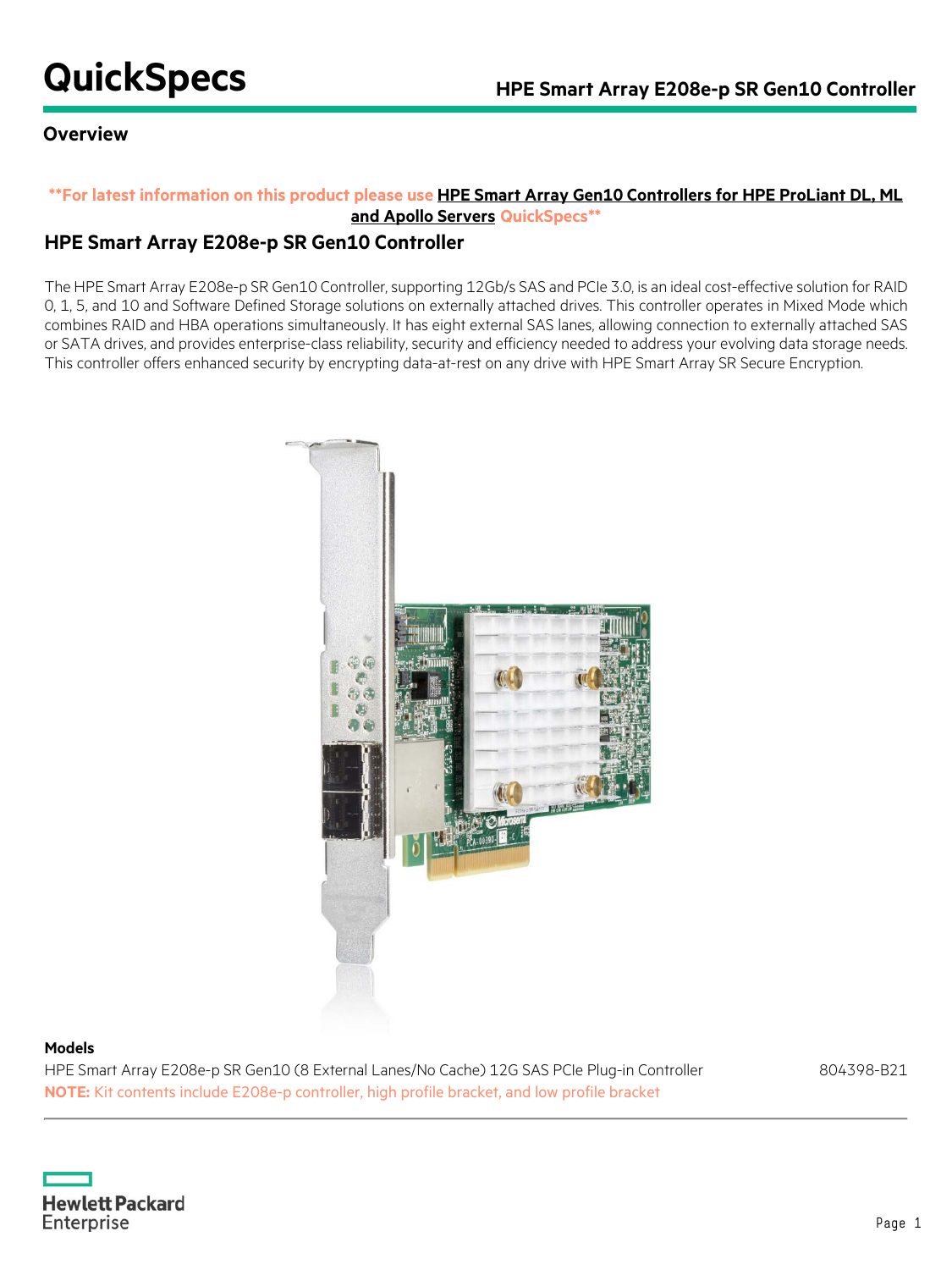## **Overview**

## **\*\*For latest information on this product please use [HPE Smart Array Gen10 Controllers for HPE ProLiant DL, ML](https://h20195.www2.hpe.com/v2/GetDocument.aspx?docname=a00047736enw)  [and Apollo Servers](https://h20195.www2.hpe.com/v2/GetDocument.aspx?docname=a00047736enw) QuickSpecs\*\***

## **HPE Smart Array E208e-p SR Gen10 Controller**

The HPE Smart Array E208e-p SR Gen10 Controller, supporting 12Gb/s SAS and PCIe 3.0, is an ideal cost-effective solution for RAID 0, 1, 5, and 10 and Software Defined Storage solutions on externally attached drives. This controller operates in Mixed Mode which combines RAID and HBA operations simultaneously. It has eight external SAS lanes, allowing connection to externally attached SAS or SATA drives, and provides enterprise-class reliability, security and efficiency needed to address your evolving data storage needs. This controller offers enhanced security by encrypting data-at-rest on any drive with HPE Smart Array SR Secure Encryption.



### **Models**

HPE Smart Array E208e-p SR Gen10 (8 External Lanes/No Cache) 12G SAS PCIe Plug-in Controller 804398-B21 **NOTE:** Kit contents include E208e-p controller, high profile bracket, and low profile bracket

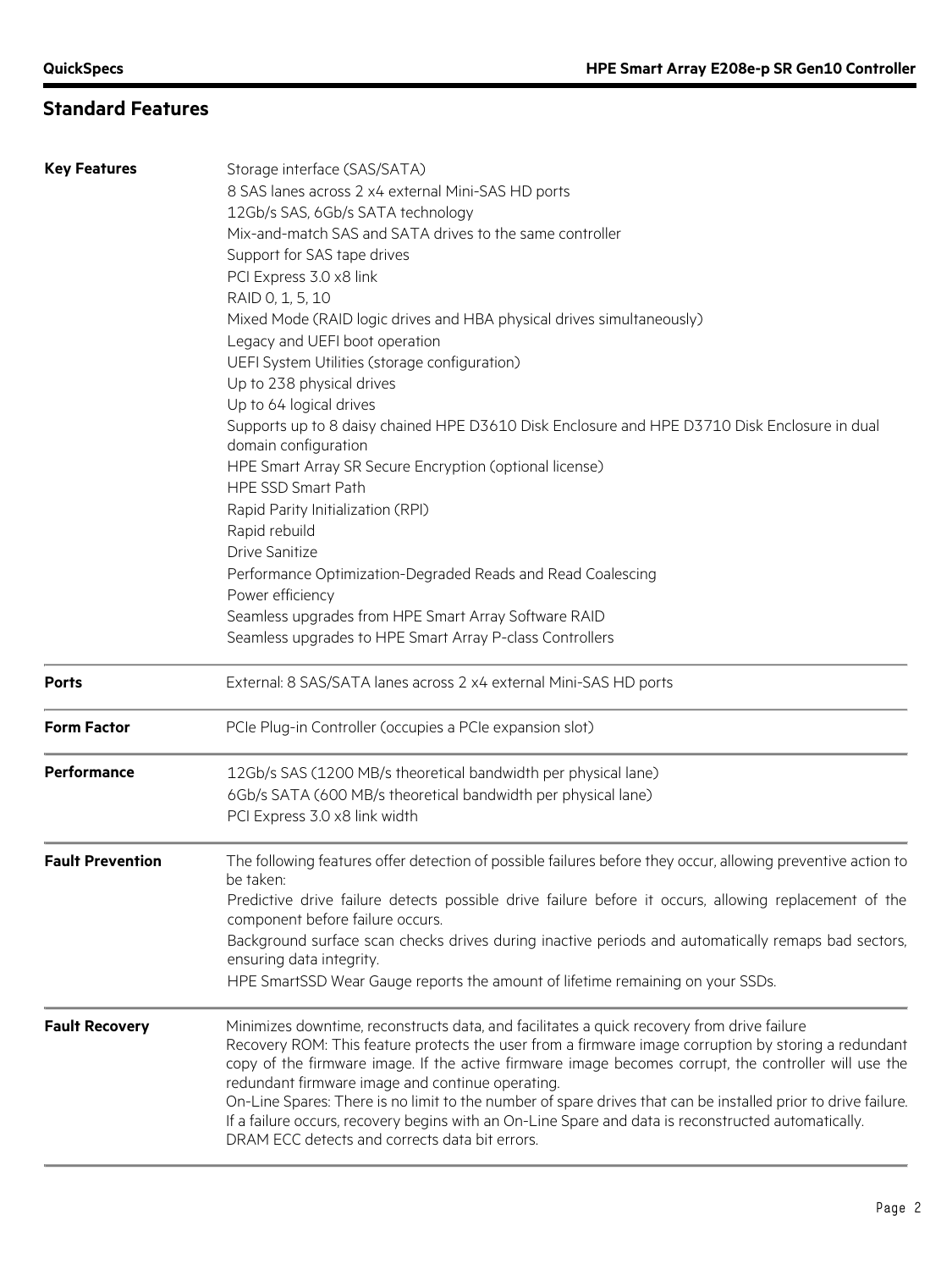# **Standard Features**

| <b>Key Features</b>     | Storage interface (SAS/SATA)<br>8 SAS lanes across 2 x4 external Mini-SAS HD ports<br>12Gb/s SAS, 6Gb/s SATA technology<br>Mix-and-match SAS and SATA drives to the same controller<br>Support for SAS tape drives<br>PCI Express 3.0 x8 link<br>RAID 0, 1, 5, 10<br>Mixed Mode (RAID logic drives and HBA physical drives simultaneously)<br>Legacy and UEFI boot operation<br>UEFI System Utilities (storage configuration)<br>Up to 238 physical drives<br>Up to 64 logical drives                                                                                                                                                     |
|-------------------------|-------------------------------------------------------------------------------------------------------------------------------------------------------------------------------------------------------------------------------------------------------------------------------------------------------------------------------------------------------------------------------------------------------------------------------------------------------------------------------------------------------------------------------------------------------------------------------------------------------------------------------------------|
|                         | Supports up to 8 daisy chained HPE D3610 Disk Enclosure and HPE D3710 Disk Enclosure in dual<br>domain configuration<br>HPE Smart Array SR Secure Encryption (optional license)<br><b>HPE SSD Smart Path</b><br>Rapid Parity Initialization (RPI)                                                                                                                                                                                                                                                                                                                                                                                         |
|                         | Rapid rebuild<br><b>Drive Sanitize</b><br>Performance Optimization-Degraded Reads and Read Coalescing<br>Power efficiency<br>Seamless upgrades from HPE Smart Array Software RAID<br>Seamless upgrades to HPE Smart Array P-class Controllers                                                                                                                                                                                                                                                                                                                                                                                             |
| <b>Ports</b>            | External: 8 SAS/SATA lanes across 2 x4 external Mini-SAS HD ports                                                                                                                                                                                                                                                                                                                                                                                                                                                                                                                                                                         |
| <b>Form Factor</b>      | PCIe Plug-in Controller (occupies a PCIe expansion slot)                                                                                                                                                                                                                                                                                                                                                                                                                                                                                                                                                                                  |
| Performance             | 12Gb/s SAS (1200 MB/s theoretical bandwidth per physical lane)<br>6Gb/s SATA (600 MB/s theoretical bandwidth per physical lane)<br>PCI Express 3.0 x8 link width                                                                                                                                                                                                                                                                                                                                                                                                                                                                          |
| <b>Fault Prevention</b> | The following features offer detection of possible failures before they occur, allowing preventive action to<br>be taken:<br>Predictive drive failure detects possible drive failure before it occurs, allowing replacement of the<br>component before failure occurs.<br>Background surface scan checks drives during inactive periods and automatically remaps bad sectors,<br>ensuring data integrity.<br>HPE SmartSSD Wear Gauge reports the amount of lifetime remaining on your SSDs.                                                                                                                                               |
| <b>Fault Recovery</b>   | Minimizes downtime, reconstructs data, and facilitates a quick recovery from drive failure<br>Recovery ROM: This feature protects the user from a firmware image corruption by storing a redundant<br>copy of the firmware image. If the active firmware image becomes corrupt, the controller will use the<br>redundant firmware image and continue operating.<br>On-Line Spares: There is no limit to the number of spare drives that can be installed prior to drive failure.<br>If a failure occurs, recovery begins with an On-Line Spare and data is reconstructed automatically.<br>DRAM ECC detects and corrects data bit errors. |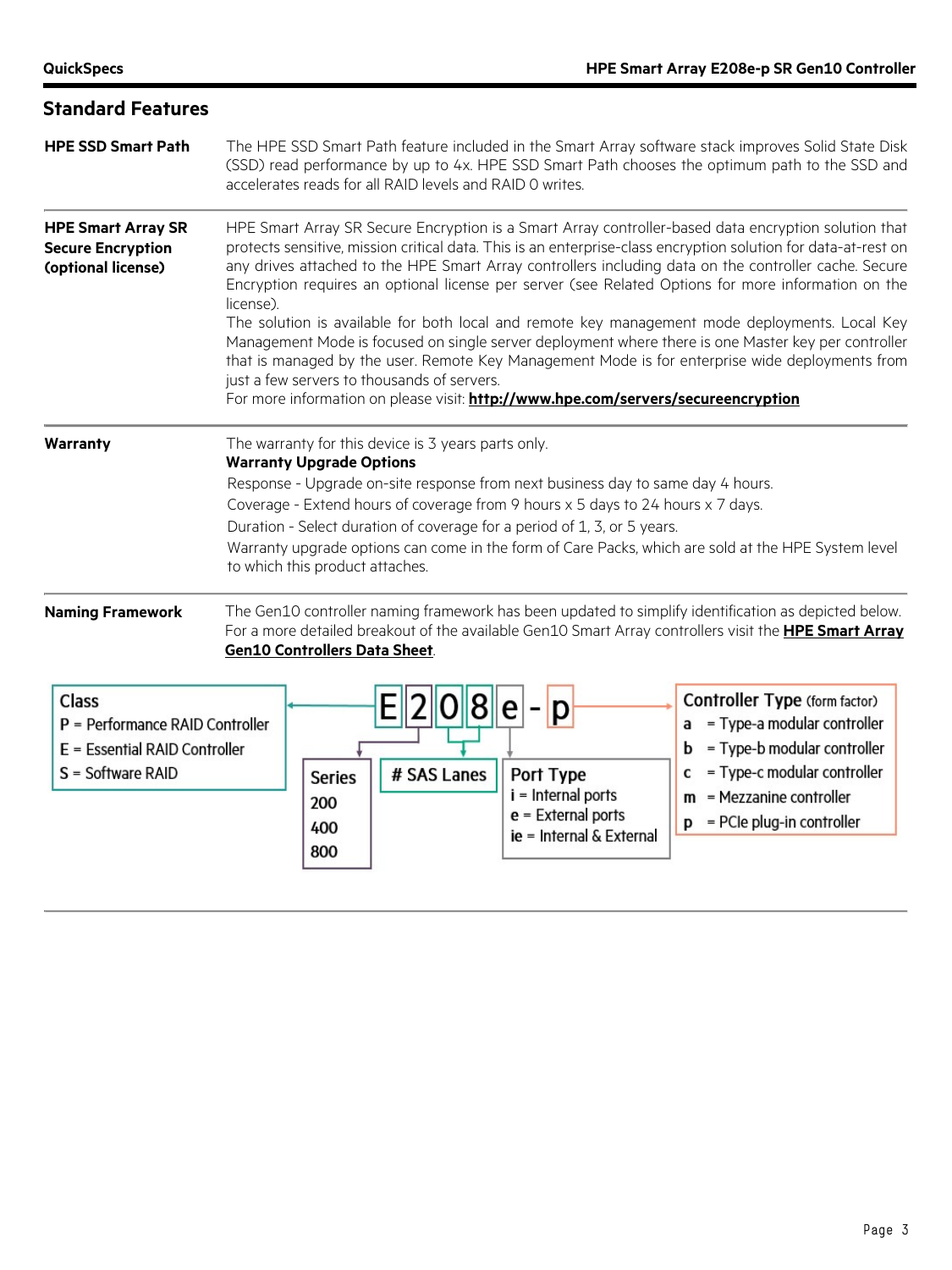| <b>Standard Features</b>                                                                              |                                                                                                                                                                                                                                                                                                                                                                                                                                                                                                                                                                                                                                                                                                                                                                                                                                                                                                     |  |  |  |  |
|-------------------------------------------------------------------------------------------------------|-----------------------------------------------------------------------------------------------------------------------------------------------------------------------------------------------------------------------------------------------------------------------------------------------------------------------------------------------------------------------------------------------------------------------------------------------------------------------------------------------------------------------------------------------------------------------------------------------------------------------------------------------------------------------------------------------------------------------------------------------------------------------------------------------------------------------------------------------------------------------------------------------------|--|--|--|--|
| <b>HPE SSD Smart Path</b>                                                                             | The HPE SSD Smart Path feature included in the Smart Array software stack improves Solid State Disk<br>(SSD) read performance by up to 4x. HPE SSD Smart Path chooses the optimum path to the SSD and<br>accelerates reads for all RAID levels and RAID 0 writes.                                                                                                                                                                                                                                                                                                                                                                                                                                                                                                                                                                                                                                   |  |  |  |  |
| <b>HPE Smart Array SR</b><br><b>Secure Encryption</b><br>(optional license)                           | HPE Smart Array SR Secure Encryption is a Smart Array controller-based data encryption solution that<br>protects sensitive, mission critical data. This is an enterprise-class encryption solution for data-at-rest on<br>any drives attached to the HPE Smart Array controllers including data on the controller cache. Secure<br>Encryption requires an optional license per server (see Related Options for more information on the<br>license).<br>The solution is available for both local and remote key management mode deployments. Local Key<br>Management Mode is focused on single server deployment where there is one Master key per controller<br>that is managed by the user. Remote Key Management Mode is for enterprise wide deployments from<br>just a few servers to thousands of servers.<br>For more information on please visit: http://www.hpe.com/servers/secureencryption |  |  |  |  |
| <b>Warranty</b>                                                                                       | The warranty for this device is 3 years parts only.<br><b>Warranty Upgrade Options</b><br>Response - Upgrade on-site response from next business day to same day 4 hours.<br>Coverage - Extend hours of coverage from 9 hours x 5 days to 24 hours x 7 days.<br>Duration - Select duration of coverage for a period of 1, 3, or 5 years.<br>Warranty upgrade options can come in the form of Care Packs, which are sold at the HPE System level<br>to which this product attaches.                                                                                                                                                                                                                                                                                                                                                                                                                  |  |  |  |  |
| <b>Naming Framework</b>                                                                               | The Gen10 controller naming framework has been updated to simplify identification as depicted below.<br>For a more detailed breakout of the available Gen10 Smart Array controllers visit the <b>HPE Smart Array</b><br><b>Gen10 Controllers Data Sheet.</b>                                                                                                                                                                                                                                                                                                                                                                                                                                                                                                                                                                                                                                        |  |  |  |  |
| <b>Class</b><br>P = Performance RAID Controller<br>E = Essential RAID Controller<br>S = Software RAID | Controller Type (form factor)<br>p<br>= Type-a modular controller<br>a<br>= Type-b modular controller<br>= Type-c modular controller<br># SAS Lanes<br>Port Type<br>C<br><b>Series</b><br>$i =$ Internal ports<br>$m$ = Mezzanine controller<br>200                                                                                                                                                                                                                                                                                                                                                                                                                                                                                                                                                                                                                                                 |  |  |  |  |

400

800

 $e$  = External ports

ie = Internal & External

 $\mathbf{p}$  = PCIe plug-in controller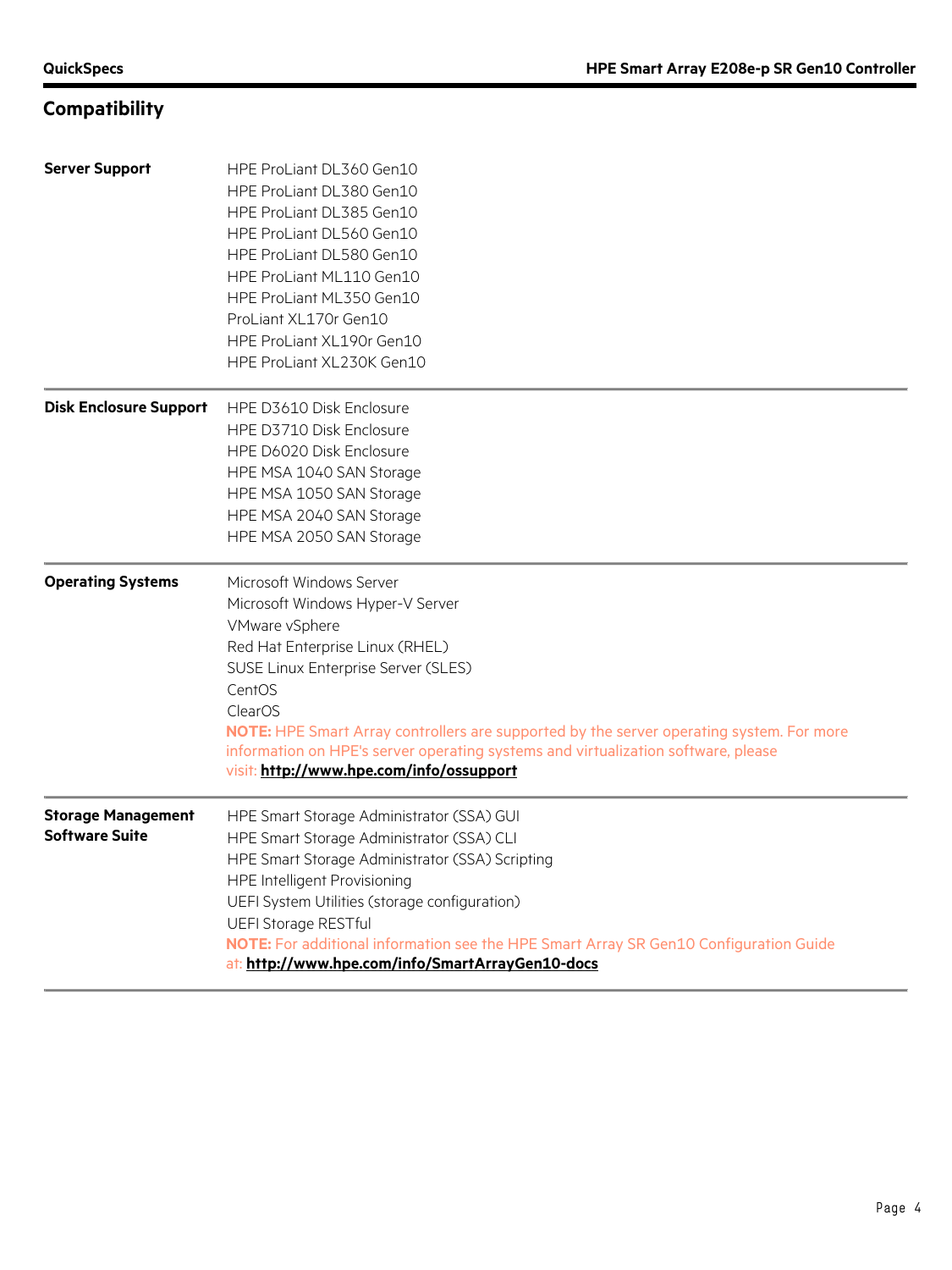# **Compatibility**

| <b>Server Support</b>                              | HPE ProLiant DL360 Gen10<br>HPE ProLiant DL380 Gen10<br>HPE ProLiant DL385 Gen10<br>HPE ProLiant DL560 Gen10<br>HPE ProLiant DL580 Gen10<br>HPE ProLiant ML110 Gen10<br>HPE ProLiant ML350 Gen10<br>ProLiant XL170r Gen10<br>HPE ProLiant XL190r Gen10<br>HPE ProLiant XL230K Gen10                                                                                                                           |
|----------------------------------------------------|---------------------------------------------------------------------------------------------------------------------------------------------------------------------------------------------------------------------------------------------------------------------------------------------------------------------------------------------------------------------------------------------------------------|
| <b>Disk Enclosure Support</b>                      | HPE D3610 Disk Enclosure<br>HPE D3710 Disk Enclosure<br>HPE D6020 Disk Enclosure<br>HPE MSA 1040 SAN Storage<br>HPE MSA 1050 SAN Storage<br>HPE MSA 2040 SAN Storage<br>HPE MSA 2050 SAN Storage                                                                                                                                                                                                              |
| <b>Operating Systems</b>                           | Microsoft Windows Server<br>Microsoft Windows Hyper-V Server<br>VMware vSphere<br>Red Hat Enterprise Linux (RHEL)<br>SUSE Linux Enterprise Server (SLES)<br>CentOS<br>ClearOS<br>NOTE: HPE Smart Array controllers are supported by the server operating system. For more<br>information on HPE's server operating systems and virtualization software, please<br>visit: http://www.hpe.com/info/ossupport    |
| <b>Storage Management</b><br><b>Software Suite</b> | HPE Smart Storage Administrator (SSA) GUI<br>HPE Smart Storage Administrator (SSA) CLI<br>HPE Smart Storage Administrator (SSA) Scripting<br><b>HPE Intelligent Provisioning</b><br>UEFI System Utilities (storage configuration)<br><b>UEFI Storage RESTful</b><br>NOTE: For additional information see the HPE Smart Array SR Gen10 Configuration Guide<br>at: http://www.hpe.com/info/SmartArrayGen10-docs |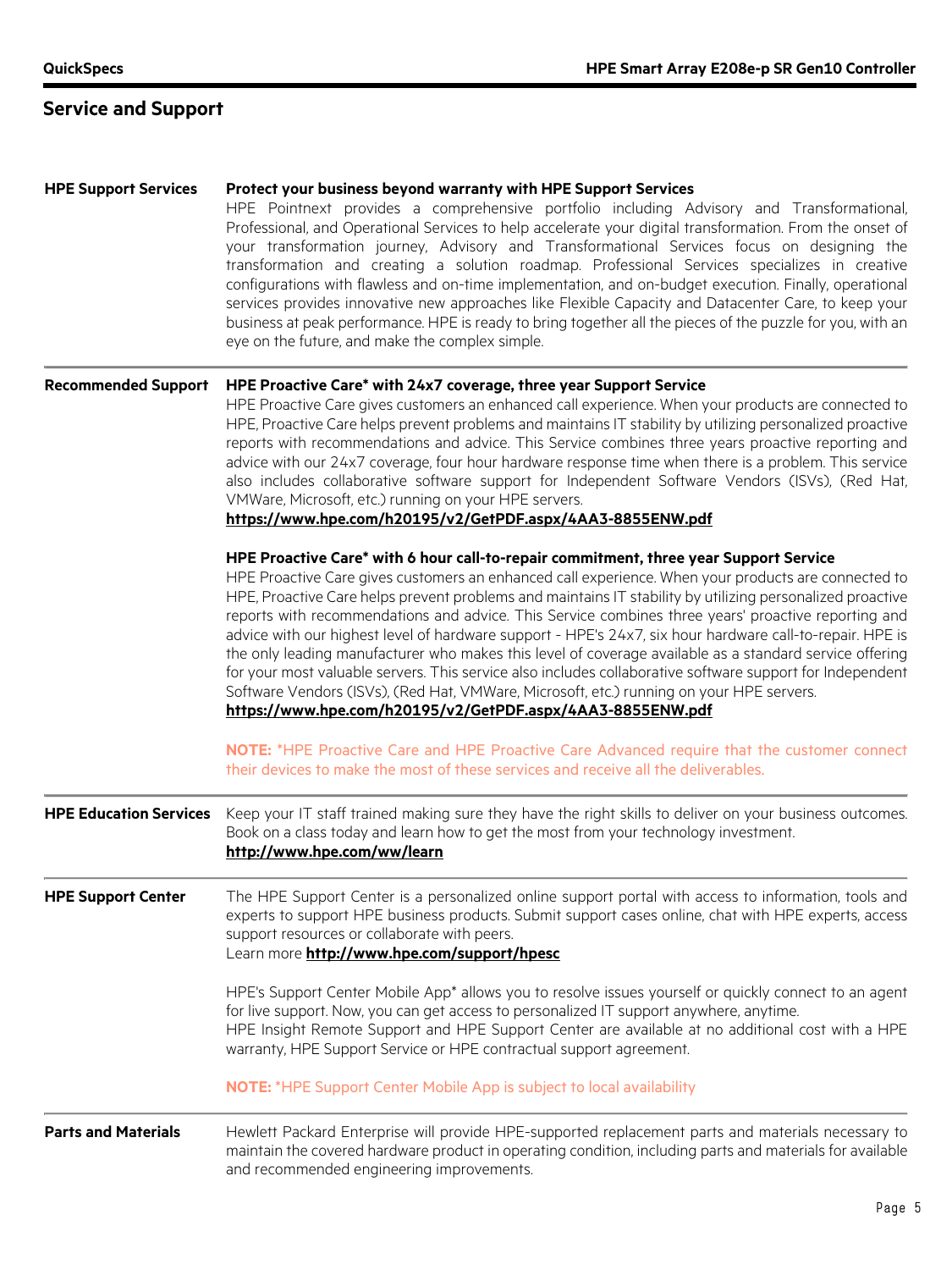# **Service and Support**

| <b>HPE Support Services</b>   | Protect your business beyond warranty with HPE Support Services<br>HPE Pointnext provides a comprehensive portfolio including Advisory and Transformational,<br>Professional, and Operational Services to help accelerate your digital transformation. From the onset of<br>your transformation journey, Advisory and Transformational Services focus on designing the<br>transformation and creating a solution roadmap. Professional Services specializes in creative<br>configurations with flawless and on-time implementation, and on-budget execution. Finally, operational<br>services provides innovative new approaches like Flexible Capacity and Datacenter Care, to keep your<br>business at peak performance. HPE is ready to bring together all the pieces of the puzzle for you, with an<br>eye on the future, and make the complex simple.                                                     |  |  |  |  |
|-------------------------------|----------------------------------------------------------------------------------------------------------------------------------------------------------------------------------------------------------------------------------------------------------------------------------------------------------------------------------------------------------------------------------------------------------------------------------------------------------------------------------------------------------------------------------------------------------------------------------------------------------------------------------------------------------------------------------------------------------------------------------------------------------------------------------------------------------------------------------------------------------------------------------------------------------------|--|--|--|--|
| <b>Recommended Support</b>    | HPE Proactive Care* with 24x7 coverage, three year Support Service<br>HPE Proactive Care gives customers an enhanced call experience. When your products are connected to<br>HPE, Proactive Care helps prevent problems and maintains IT stability by utilizing personalized proactive<br>reports with recommendations and advice. This Service combines three years proactive reporting and<br>advice with our 24x7 coverage, four hour hardware response time when there is a problem. This service<br>also includes collaborative software support for Independent Software Vendors (ISVs), (Red Hat,<br>VMWare, Microsoft, etc.) running on your HPE servers.<br>https://www.hpe.com/h20195/v2/GetPDF.aspx/4AA3-8855ENW.pdf                                                                                                                                                                                |  |  |  |  |
|                               | HPE Proactive Care* with 6 hour call-to-repair commitment, three year Support Service<br>HPE Proactive Care gives customers an enhanced call experience. When your products are connected to<br>HPE, Proactive Care helps prevent problems and maintains IT stability by utilizing personalized proactive<br>reports with recommendations and advice. This Service combines three years' proactive reporting and<br>advice with our highest level of hardware support - HPE's 24x7, six hour hardware call-to-repair. HPE is<br>the only leading manufacturer who makes this level of coverage available as a standard service offering<br>for your most valuable servers. This service also includes collaborative software support for Independent<br>Software Vendors (ISVs), (Red Hat, VMWare, Microsoft, etc.) running on your HPE servers.<br>https://www.hpe.com/h20195/v2/GetPDF.aspx/4AA3-8855ENW.pdf |  |  |  |  |
|                               | NOTE: *HPE Proactive Care and HPE Proactive Care Advanced require that the customer connect<br>their devices to make the most of these services and receive all the deliverables.                                                                                                                                                                                                                                                                                                                                                                                                                                                                                                                                                                                                                                                                                                                              |  |  |  |  |
| <b>HPE Education Services</b> | Keep your IT staff trained making sure they have the right skills to deliver on your business outcomes.<br>Book on a class today and learn how to get the most from your technology investment.<br>http://www.hpe.com/ww/learn                                                                                                                                                                                                                                                                                                                                                                                                                                                                                                                                                                                                                                                                                 |  |  |  |  |
| <b>HPE Support Center</b>     | The HPE Support Center is a personalized online support portal with access to information, tools and<br>experts to support HPE business products. Submit support cases online, chat with HPE experts, access<br>support resources or collaborate with peers.<br>Learn more http://www.hpe.com/support/hpesc                                                                                                                                                                                                                                                                                                                                                                                                                                                                                                                                                                                                    |  |  |  |  |
|                               | HPE's Support Center Mobile App* allows you to resolve issues yourself or quickly connect to an agent<br>for live support. Now, you can get access to personalized IT support anywhere, anytime.<br>HPE Insight Remote Support and HPE Support Center are available at no additional cost with a HPE<br>warranty, HPE Support Service or HPE contractual support agreement.                                                                                                                                                                                                                                                                                                                                                                                                                                                                                                                                    |  |  |  |  |
|                               | <b>NOTE:</b> *HPE Support Center Mobile App is subject to local availability                                                                                                                                                                                                                                                                                                                                                                                                                                                                                                                                                                                                                                                                                                                                                                                                                                   |  |  |  |  |
| <b>Parts and Materials</b>    | Hewlett Packard Enterprise will provide HPE-supported replacement parts and materials necessary to<br>maintain the covered hardware product in operating condition, including parts and materials for available<br>and recommended engineering improvements.                                                                                                                                                                                                                                                                                                                                                                                                                                                                                                                                                                                                                                                   |  |  |  |  |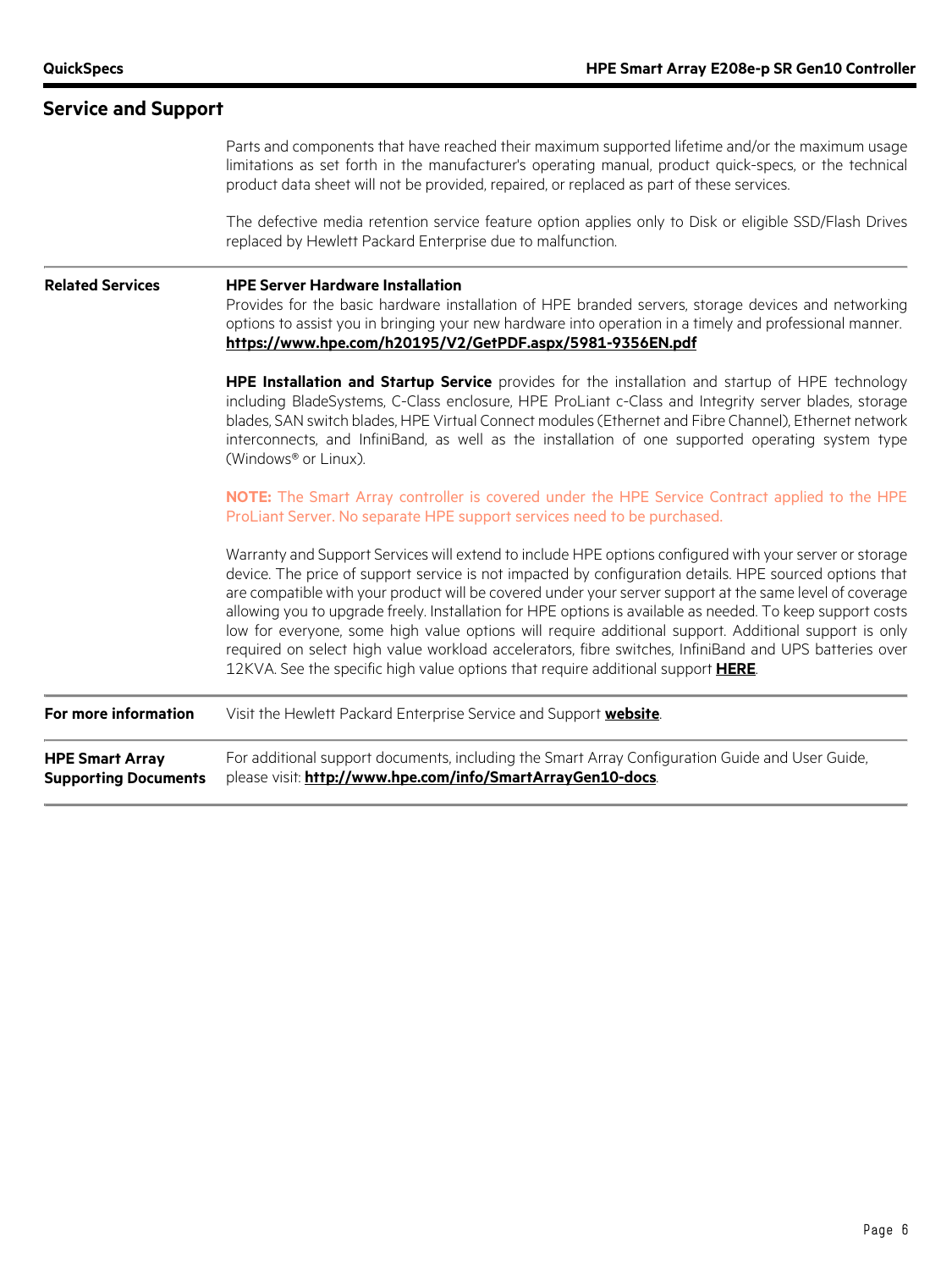| <b>Service and Support</b>                            |                                                                                                                                                                                                                                                                                                                                                                                                                                                                                                                                                                                                                                                                                                                                                     |  |  |  |
|-------------------------------------------------------|-----------------------------------------------------------------------------------------------------------------------------------------------------------------------------------------------------------------------------------------------------------------------------------------------------------------------------------------------------------------------------------------------------------------------------------------------------------------------------------------------------------------------------------------------------------------------------------------------------------------------------------------------------------------------------------------------------------------------------------------------------|--|--|--|
|                                                       | Parts and components that have reached their maximum supported lifetime and/or the maximum usage<br>limitations as set forth in the manufacturer's operating manual, product quick-specs, or the technical<br>product data sheet will not be provided, repaired, or replaced as part of these services.                                                                                                                                                                                                                                                                                                                                                                                                                                             |  |  |  |
|                                                       | The defective media retention service feature option applies only to Disk or eligible SSD/Flash Drives<br>replaced by Hewlett Packard Enterprise due to malfunction.                                                                                                                                                                                                                                                                                                                                                                                                                                                                                                                                                                                |  |  |  |
| <b>Related Services</b>                               | <b>HPE Server Hardware Installation</b><br>Provides for the basic hardware installation of HPE branded servers, storage devices and networking<br>options to assist you in bringing your new hardware into operation in a timely and professional manner.<br>https://www.hpe.com/h20195/V2/GetPDF.aspx/5981-9356EN.pdf                                                                                                                                                                                                                                                                                                                                                                                                                              |  |  |  |
|                                                       | HPE Installation and Startup Service provides for the installation and startup of HPE technology<br>including BladeSystems, C-Class enclosure, HPE ProLiant c-Class and Integrity server blades, storage<br>blades, SAN switch blades, HPE Virtual Connect modules (Ethernet and Fibre Channel), Ethernet network<br>interconnects, and InfiniBand, as well as the installation of one supported operating system type<br>(Windows® or Linux).                                                                                                                                                                                                                                                                                                      |  |  |  |
|                                                       | NOTE: The Smart Array controller is covered under the HPE Service Contract applied to the HPE<br>ProLiant Server. No separate HPE support services need to be purchased.                                                                                                                                                                                                                                                                                                                                                                                                                                                                                                                                                                            |  |  |  |
|                                                       | Warranty and Support Services will extend to include HPE options configured with your server or storage<br>device. The price of support service is not impacted by configuration details. HPE sourced options that<br>are compatible with your product will be covered under your server support at the same level of coverage<br>allowing you to upgrade freely. Installation for HPE options is available as needed. To keep support costs<br>low for everyone, some high value options will require additional support. Additional support is only<br>required on select high value workload accelerators, fibre switches, InfiniBand and UPS batteries over<br>12KVA. See the specific high value options that require additional support HERE. |  |  |  |
| For more information                                  | Visit the Hewlett Packard Enterprise Service and Support website.                                                                                                                                                                                                                                                                                                                                                                                                                                                                                                                                                                                                                                                                                   |  |  |  |
| <b>HPE Smart Array</b><br><b>Supporting Documents</b> | For additional support documents, including the Smart Array Configuration Guide and User Guide,<br>please visit: http://www.hpe.com/info/SmartArrayGen10-docs.                                                                                                                                                                                                                                                                                                                                                                                                                                                                                                                                                                                      |  |  |  |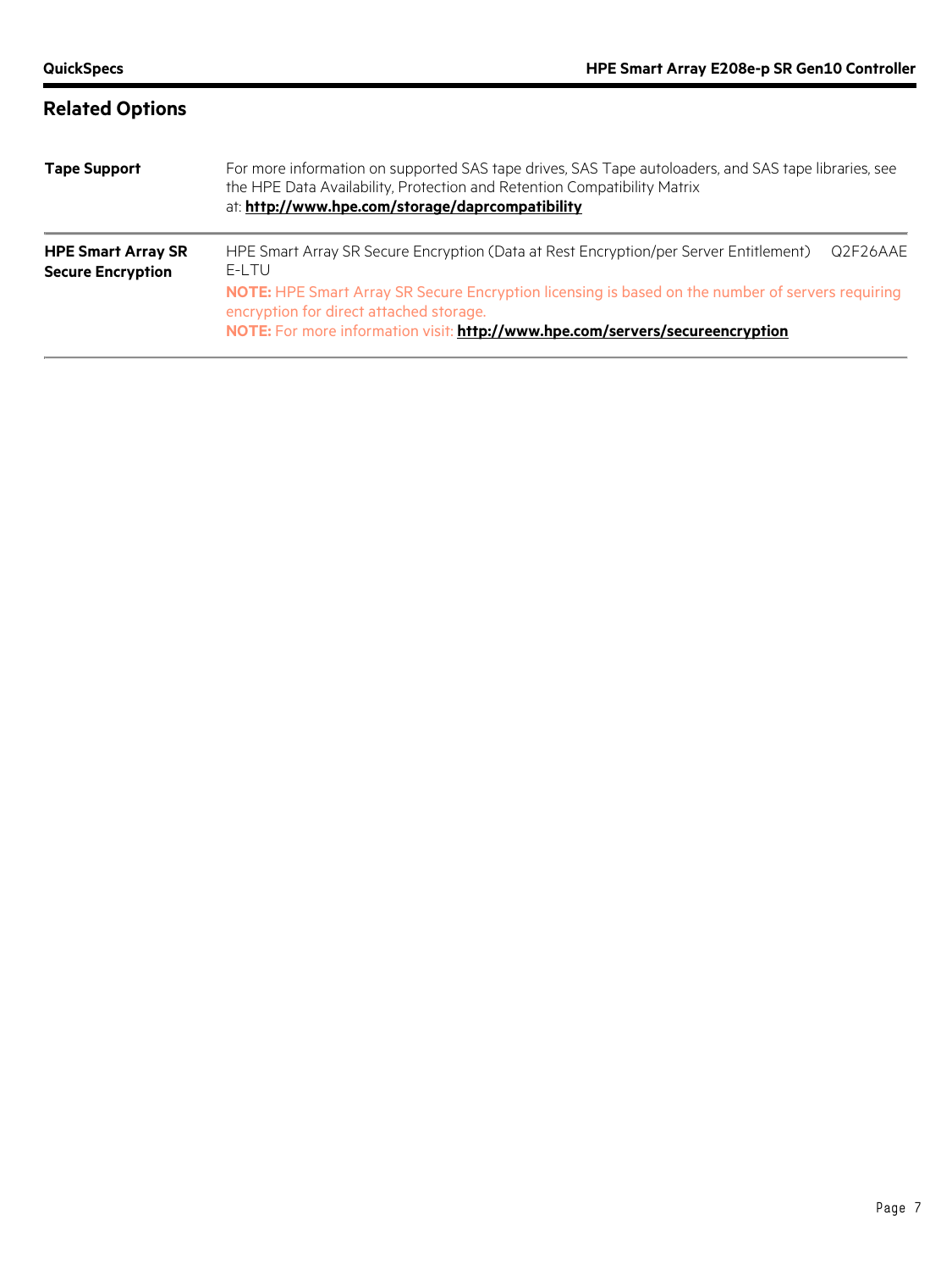| <b>Related Options</b>                                |                                                                                                                                                                                                                                                                                                                                |          |  |  |
|-------------------------------------------------------|--------------------------------------------------------------------------------------------------------------------------------------------------------------------------------------------------------------------------------------------------------------------------------------------------------------------------------|----------|--|--|
| <b>Tape Support</b>                                   | For more information on supported SAS tape drives, SAS Tape autoloaders, and SAS tape libraries, see<br>the HPE Data Availability, Protection and Retention Compatibility Matrix<br>at: http://www.hpe.com/storage/daprcompatibility                                                                                           |          |  |  |
| <b>HPE Smart Array SR</b><br><b>Secure Encryption</b> | HPE Smart Array SR Secure Encryption (Data at Rest Encryption/per Server Entitlement)<br>E-LTU<br>NOTE: HPE Smart Array SR Secure Encryption licensing is based on the number of servers requiring<br>encryption for direct attached storage.<br>NOTE: For more information visit: http://www.hpe.com/servers/secureencryption | Q2F26AAE |  |  |